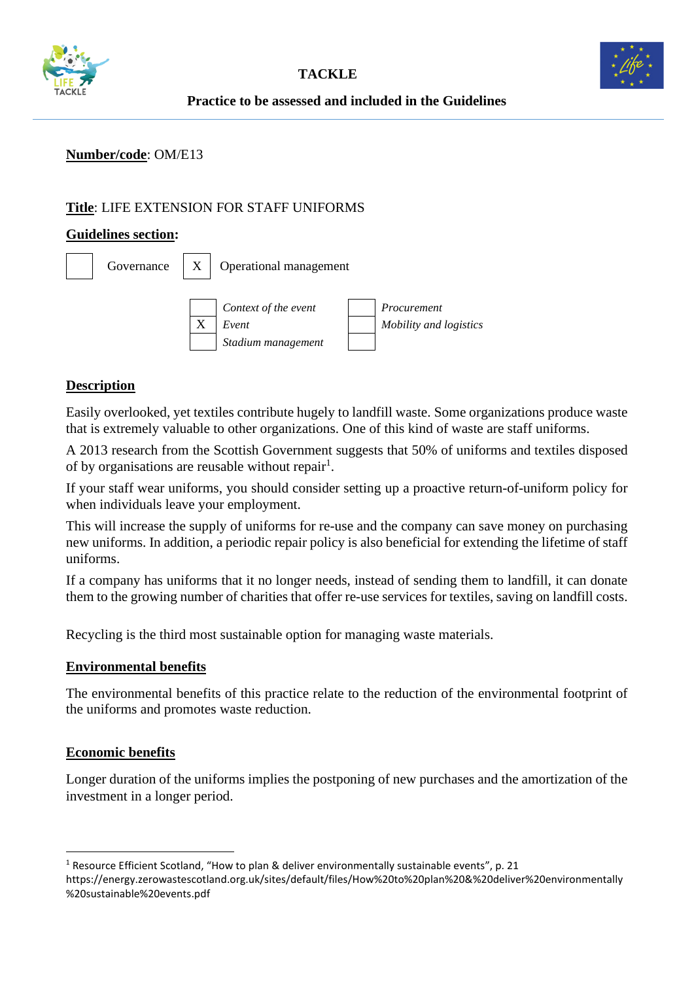



### **Number/code**: OM/E13

## **Title**: LIFE EXTENSION FOR STAFF UNIFORMS

#### **Guidelines section:**

| Governance | $\boldsymbol{X}$ | <b>Operational management</b>                       |  |                                       |  |
|------------|------------------|-----------------------------------------------------|--|---------------------------------------|--|
|            | X                | Context of the event<br>Event<br>Stadium management |  | Procurement<br>Mobility and logistics |  |

### **Description**

Easily overlooked, yet textiles contribute hugely to landfill waste. Some organizations produce waste that is extremely valuable to other organizations. One of this kind of waste are staff uniforms.

A 2013 research from the Scottish Government suggests that 50% of uniforms and textiles disposed of by organisations are reusable without repair<sup>1</sup>.

If your staff wear uniforms, you should consider setting up a proactive return-of-uniform policy for when individuals leave your employment.

This will increase the supply of uniforms for re-use and the company can save money on purchasing new uniforms. In addition, a periodic repair policy is also beneficial for extending the lifetime of staff uniforms.

If a company has uniforms that it no longer needs, instead of sending them to landfill, it can donate them to the growing number of charities that offer re-use services for textiles, saving on landfill costs.

Recycling is the third most sustainable option for managing waste materials.

#### **Environmental benefits**

The environmental benefits of this practice relate to the reduction of the environmental footprint of the uniforms and promotes waste reduction.

#### **Economic benefits**

Longer duration of the uniforms implies the postponing of new purchases and the amortization of the investment in a longer period.

<sup>1</sup> Resource Efficient Scotland, "How to plan & deliver environmentally sustainable events", p. 21 https://energy.zerowastescotland.org.uk/sites/default/files/How%20to%20plan%20&%20deliver%20environmentally %20sustainable%20events.pdf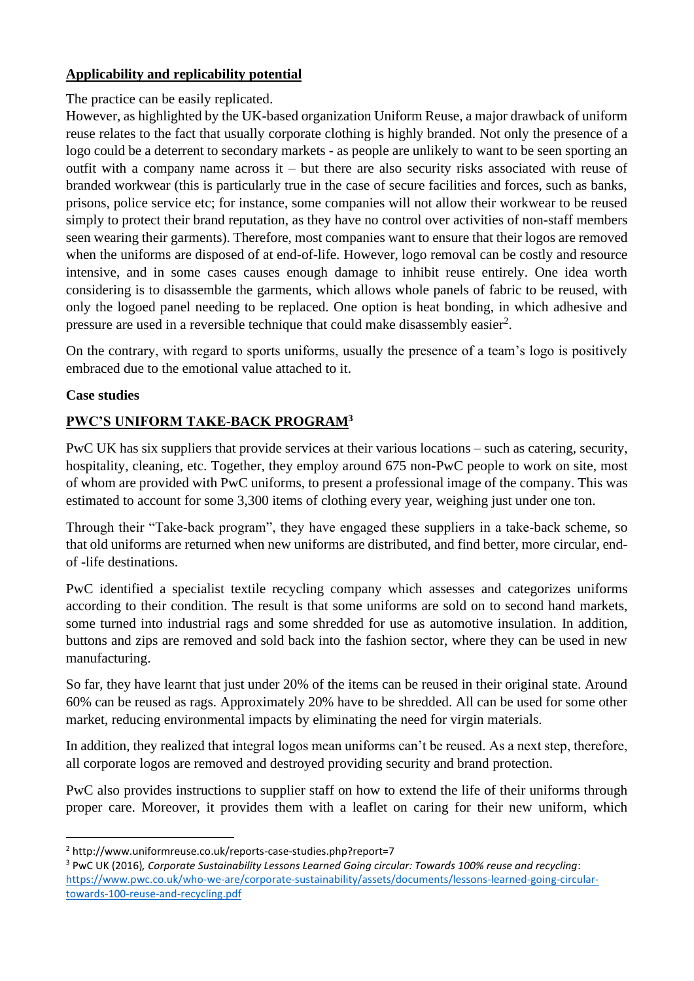## **Applicability and replicability potential**

## The practice can be easily replicated.

However, as highlighted by the UK-based organization Uniform Reuse, a major drawback of uniform reuse relates to the fact that usually corporate clothing is highly branded. Not only the presence of a logo could be a deterrent to secondary markets - as people are unlikely to want to be seen sporting an outfit with a company name across it – but there are also security risks associated with reuse of branded workwear (this is particularly true in the case of secure facilities and forces, such as banks, prisons, police service etc; for instance, some companies will not allow their workwear to be reused simply to protect their brand reputation, as they have no control over activities of non-staff members seen wearing their garments). Therefore, most companies want to ensure that their logos are removed when the uniforms are disposed of at end-of-life. However, logo removal can be costly and resource intensive, and in some cases causes enough damage to inhibit reuse entirely. One idea worth considering is to disassemble the garments, which allows whole panels of fabric to be reused, with only the logoed panel needing to be replaced. One option is heat bonding, in which adhesive and pressure are used in a reversible technique that could make disassembly easier<sup>2</sup>.

On the contrary, with regard to sports uniforms, usually the presence of a team's logo is positively embraced due to the emotional value attached to it.

## **Case studies**

# **PWC'S UNIFORM TAKE-BACK PROGRAM<sup>3</sup>**

PwC UK has six suppliers that provide services at their various locations – such as catering, security, hospitality, cleaning, etc. Together, they employ around 675 non-PwC people to work on site, most of whom are provided with PwC uniforms, to present a professional image of the company. This was estimated to account for some 3,300 items of clothing every year, weighing just under one ton.

Through their "Take-back program", they have engaged these suppliers in a take-back scheme, so that old uniforms are returned when new uniforms are distributed, and find better, more circular, endof -life destinations.

PwC identified a specialist textile recycling company which assesses and categorizes uniforms according to their condition. The result is that some uniforms are sold on to second hand markets, some turned into industrial rags and some shredded for use as automotive insulation. In addition, buttons and zips are removed and sold back into the fashion sector, where they can be used in new manufacturing.

So far, they have learnt that just under 20% of the items can be reused in their original state. Around 60% can be reused as rags. Approximately 20% have to be shredded. All can be used for some other market, reducing environmental impacts by eliminating the need for virgin materials.

In addition, they realized that integral logos mean uniforms can't be reused. As a next step, therefore, all corporate logos are removed and destroyed providing security and brand protection.

PwC also provides instructions to supplier staff on how to extend the life of their uniforms through proper care. Moreover, it provides them with a leaflet on caring for their new uniform, which

<sup>3</sup> PwC UK (2016)*, Corporate Sustainability Lessons Learned Going circular: Towards 100% reuse and recycling*: [https://www.pwc.co.uk/who-we-are/corporate-sustainability/assets/documents/lessons-learned-going-circular](https://www.pwc.co.uk/who-we-are/corporate-sustainability/assets/documents/lessons-learned-going-circular-towards-100-reuse-and-recycling.pdf)[towards-100-reuse-and-recycling.pdf](https://www.pwc.co.uk/who-we-are/corporate-sustainability/assets/documents/lessons-learned-going-circular-towards-100-reuse-and-recycling.pdf)

<sup>&</sup>lt;sup>2</sup> http://www.uniformreuse.co.uk/reports-case-studies.php?report=7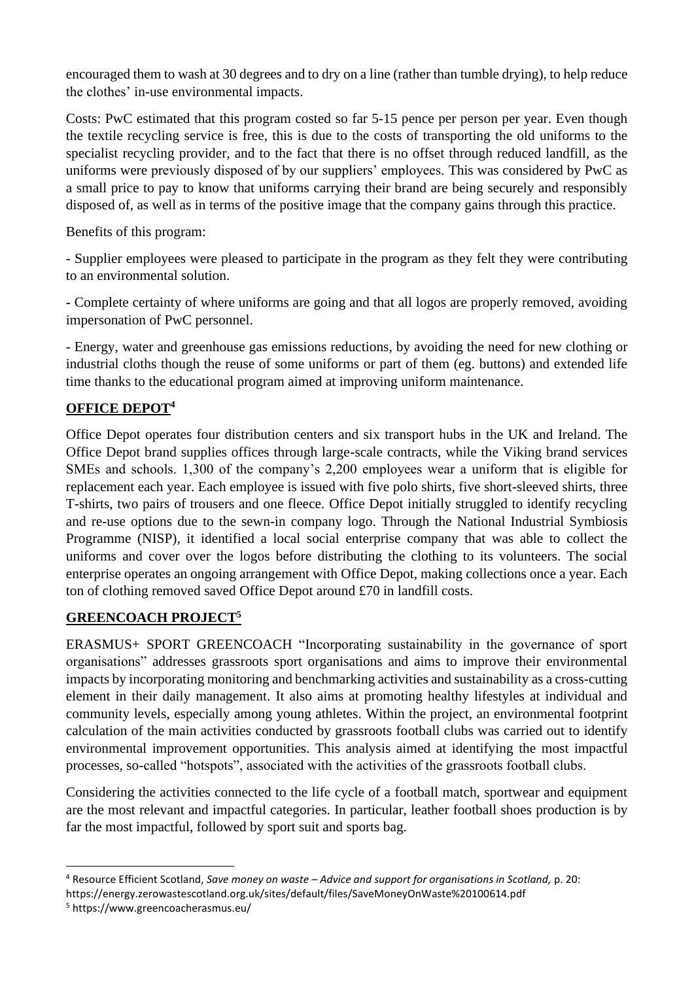encouraged them to wash at 30 degrees and to dry on a line (rather than tumble drying), to help reduce the clothes' in-use environmental impacts.

Costs: PwC estimated that this program costed so far 5-15 pence per person per year. Even though the textile recycling service is free, this is due to the costs of transporting the old uniforms to the specialist recycling provider, and to the fact that there is no offset through reduced landfill, as the uniforms were previously disposed of by our suppliers' employees. This was considered by PwC as a small price to pay to know that uniforms carrying their brand are being securely and responsibly disposed of, as well as in terms of the positive image that the company gains through this practice.

Benefits of this program:

- Supplier employees were pleased to participate in the program as they felt they were contributing to an environmental solution.

- Complete certainty of where uniforms are going and that all logos are properly removed, avoiding impersonation of PwC personnel.

- Energy, water and greenhouse gas emissions reductions, by avoiding the need for new clothing or industrial cloths though the reuse of some uniforms or part of them (eg. buttons) and extended life time thanks to the educational program aimed at improving uniform maintenance.

# **OFFICE DEPOT<sup>4</sup>**

Office Depot operates four distribution centers and six transport hubs in the UK and Ireland. The Office Depot brand supplies offices through large-scale contracts, while the Viking brand services SMEs and schools. 1,300 of the company's 2,200 employees wear a uniform that is eligible for replacement each year. Each employee is issued with five polo shirts, five short-sleeved shirts, three T-shirts, two pairs of trousers and one fleece. Office Depot initially struggled to identify recycling and re-use options due to the sewn-in company logo. Through the National Industrial Symbiosis Programme (NISP), it identified a local social enterprise company that was able to collect the uniforms and cover over the logos before distributing the clothing to its volunteers. The social enterprise operates an ongoing arrangement with Office Depot, making collections once a year. Each ton of clothing removed saved Office Depot around £70 in landfill costs.

## **GREENCOACH PROJECT<sup>5</sup>**

ERASMUS+ SPORT GREENCOACH "Incorporating sustainability in the governance of sport organisations" addresses grassroots sport organisations and aims to improve their environmental impacts by incorporating monitoring and benchmarking activities and sustainability as a cross-cutting element in their daily management. It also aims at promoting healthy lifestyles at individual and community levels, especially among young athletes. Within the project, an environmental footprint calculation of the main activities conducted by grassroots football clubs was carried out to identify environmental improvement opportunities. This analysis aimed at identifying the most impactful processes, so-called "hotspots", associated with the activities of the grassroots football clubs.

Considering the activities connected to the life cycle of a football match, sportwear and equipment are the most relevant and impactful categories. In particular, leather football shoes production is by far the most impactful, followed by sport suit and sports bag.

<sup>4</sup> Resource Efficient Scotland, *Save money on waste – Advice and support for organisations in Scotland,* p. 20:

https://energy.zerowastescotland.org.uk/sites/default/files/SaveMoneyOnWaste%20100614.pdf

<sup>5</sup> https://www.greencoacherasmus.eu/